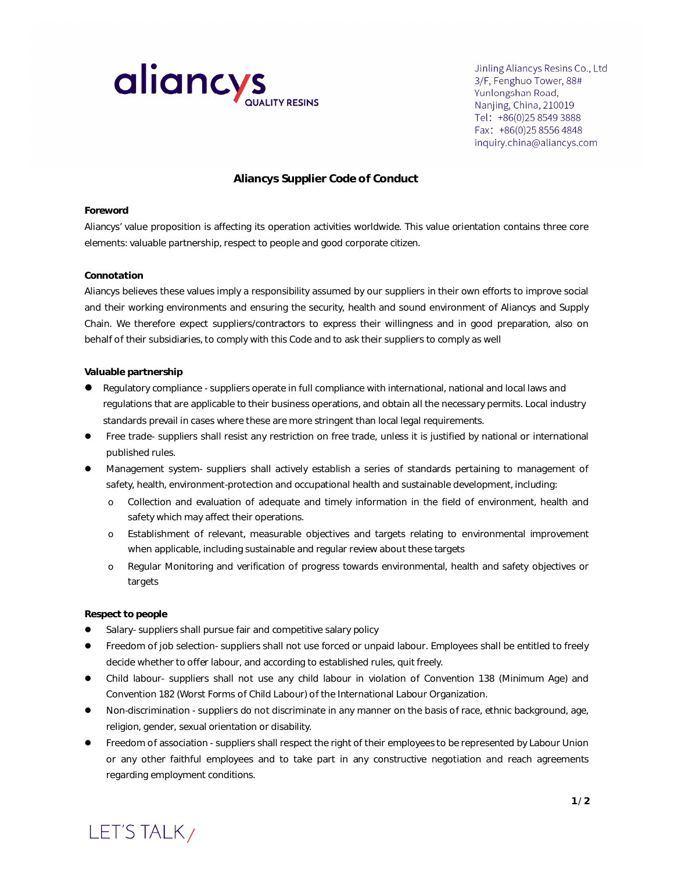

Jinling Aliancys Resins Co., Ltd 3/F, Fenghuo Tower, 88# Yunlongshan Road, Nanjing, China, 210019 Tel: +86(0)25 8549 3888 Fax: +86(0)25 8556 4848 inquiry.china@aliancys.com

# **Aliancys Supplier Code of Conduct**

## **Foreword**

Aliancys' value proposition is affecting its operation activities worldwide. This value orientation contains three core elements: valuable partnership, respect to people and good corporate citizen.

## **Connotation**

Aliancys believes these values imply a responsibility assumed by our suppliers in their own efforts to improve social and their working environments and ensuring the security, health and sound environment of Aliancys and Supply Chain. We therefore expect suppliers/contractors to express their willingness and in good preparation, also on behalf of their subsidiaries, to comply with this Code and to ask their suppliers to comply as well

## **Valuable partnership**

- Regulatory compliance suppliers operate in full compliance with international, national and local laws and regulations that are applicable to their business operations, and obtain all the necessary permits. Local industry standards prevail in cases where these are more stringent than local legal requirements.
- Free trade- suppliers shall resist any restriction on free trade, unless it is justified by national or international published rules.
- Management system- suppliers shall actively establish a series of standards pertaining to management of safety, health, environment-protection and occupational health and sustainable development, including:
	- ᨫ Collection and evaluation of adequate and timely information in the field of environment, health and safety which may affect their operations.
	- ᨫ Establishment of relevant, measurable objectives and targets relating to environmental improvement when applicable, including sustainable and regular review about these targets
	- ᨫ Regular Monitoring and verification of progress towards environmental, health and safety objectives or targets

### **Respect to people**

- Salary- suppliers shall pursue fair and competitive salary policy
- **•** Freedom of job selection- suppliers shall not use forced or unpaid labour. Employees shall be entitled to freely decide whether to offer labour, and according to established rules, quit freely.
- Child labour- suppliers shall not use any child labour in violation of Convention 138 (Minimum Age) and Convention 182 (Worst Forms of Child Labour) of the International Labour Organization.
- Non-discrimination suppliers do not discriminate in any manner on the basis of race, ethnic background, age, religion, gender, sexual orientation or disability.
- **•** Freedom of association suppliers shall respect the right of their employees to be represented by Labour Union or any other faithful employees and to take part in any constructive negotiation and reach agreements regarding employment conditions.